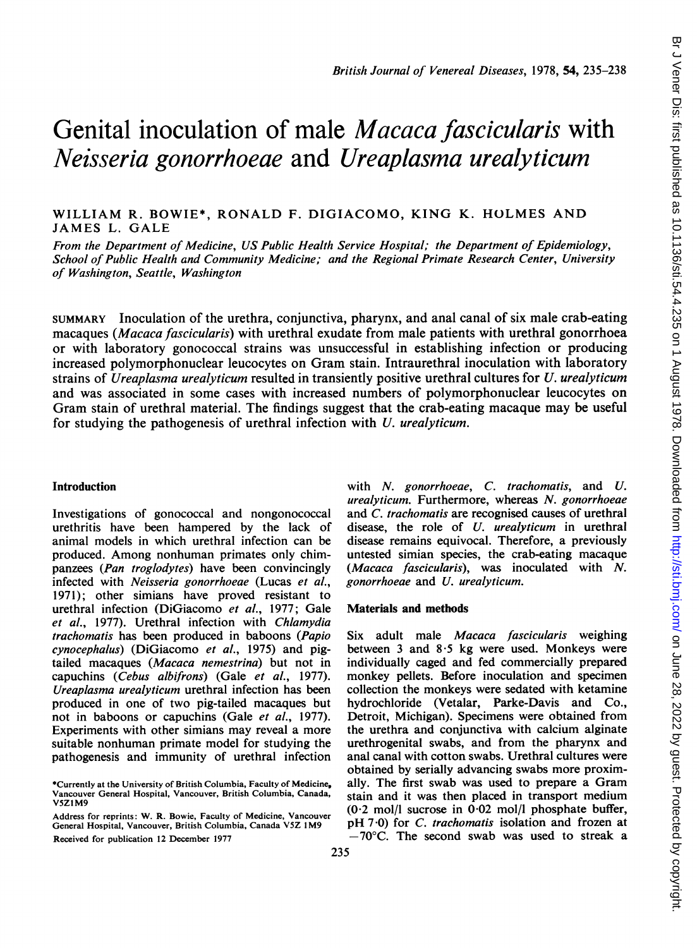# Genital inoculation of male *Macaca fascicularis* with Neisseria gonorrhoeae and Ureaplasma urealyticum

WILLIAM R. BOWIE\*, RONALD F. DIGIACOMO, KING K. HOLMES AND JAMES L. GALE

From the Department of Medicine, US Public Health Service Hospital; the Department of Epidemiology, School of Public Health and Community Medicine; and the Regional Primate Research Center, University of Washington, Seattle, Washington

SUMMARY Inoculation of the urethra, conjunctiva, pharynx, and anal canal of six male crab-eating macaques (Macaca fascicularis) with urethral exudate from male patients with urethral gonorrhoea or with laboratory gonococcal strains was unsuccessful in establishing infection or producing increased polymorphonuclear leucocytes on Gram stain. Intraurethral inoculation with laboratory strains of Ureaplasma urealyticum resulted in transiently positive urethral cultures for U. urealyticum and was associated in some cases with increased numbers of polymorphonuclear leucocytes on Gram stain of urethral material. The findings suggest that the crab-eating macaque may be useful for studying the pathogenesis of urethral infection with U. urealyticum.

## Introduction

Investigations of gonococcal and nongonococcal urethritis have been hampered by the lack of animal models in which urethral infection can be produced. Among nonhuman primates only chimpanzees (Pan troglodytes) have been convincingly infected with Neisseria gonorrhoeae (Lucas et al., 1971); other simians have proved resistant to urethral infection (DiGiacomo et al., 1977; Gale et al., 1977). Urethral infection with Chlamydia trachomatis has been produced in baboons (Papio cynocephalus) (DiGiacomo et al., 1975) and pigtailed macaques (Macaca nemestrina) but not in capuchins (Cebus albifrons) (Gale et al., 1977). Ureaplasma urealyticum urethral infection has been produced in one of two pig-tailed macaques but not in baboons or capuchins (Gale et al., 1977). Experiments with other simians may reveal a more suitable nonhuman primate model for studying the pathogenesis and immunity of urethral infection

with N. gonorrhoeae, C. trachomatis, and U. urealyticum. Furthermore, whereas N. gonorrhoeae and C. trachomatis are recognised causes of urethral disease, the role of U. urealyticum in urethral disease remains equivocal. Therefore, a previously untested simian species, the crab-eating macaque (Macaca fascicularis), was inoculated with  $N$ . gonorrhoeae and U. urealyticum.

#### Materials and methods

Six adult male Macaca fascicularis weighing between  $3$  and  $8.5$  kg were used. Monkeys were individually caged and fed commercially prepared monkey pellets. Before inoculation and specimen collection the monkeys were sedated with ketamine hydrochloride (Vetalar, Parke-Davis and Co., Detroit, Michigan). Specimens were obtained from the urethra and conjunctiva with calcium alginate urethrogenital swabs, and from the pharynx and anal canal with cotton swabs. Urethral cultures were obtained by serially advancing swabs more proximally. The first swab was used to prepare a Gram stain and it was then placed in transport medium  $(0.2 \text{ mol/l} \text{ sucrose in } 0.02 \text{ mol/l} \text{ phosphate buffer},$ pH 7.0) for C. trachomatis isolation and frozen at  $-70^{\circ}$ C. The second swab was used to streak a

<sup>\*</sup>Currently at the University of British Columbia, Faculty of Medicine, Vancouver General Hospital, Vancouver, British Columbia, Canada, V5Z1M9

Address for reprints: W. R. Bowie, Faculty of Medicine, Vancouver General Hospital, Vancouver, British Columbia, Canada V5Z <sup>I</sup> M9 Received for publication 12 December 1977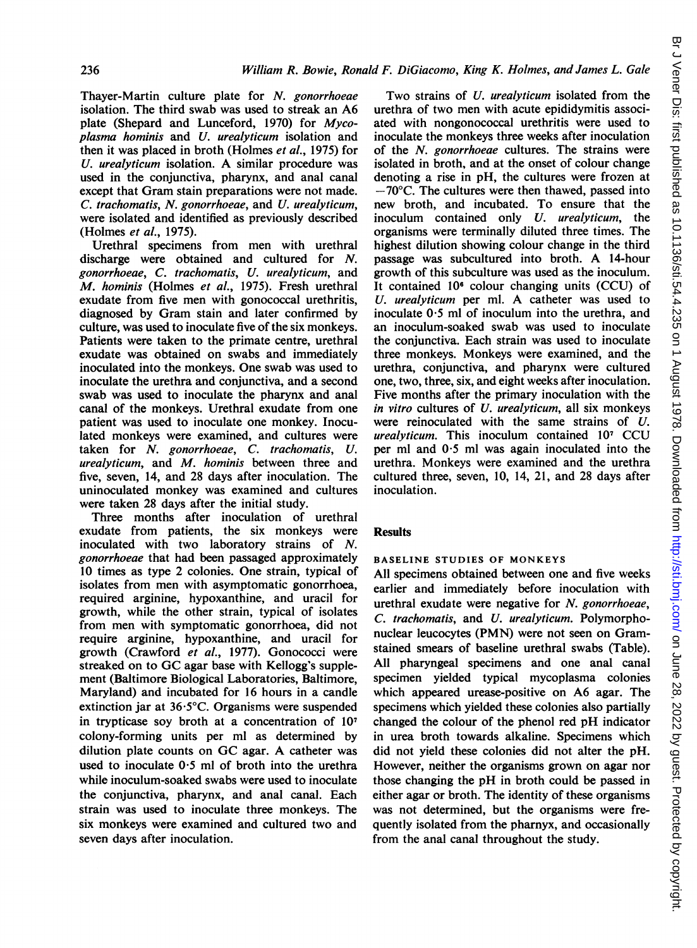Thayer-Martin culture plate for N. gonorrhoeae isolation. The third swab was used to streak an A6 plate (Shepard and Lunceford, 1970) for Mycoplasma hominis and U. urealyticum isolation and then it was placed in broth (Holmes et al., 1975) for U. urealyticum isolation. A similar procedure was used in the conjunctiva, pharynx, and anal canal except that Gram stain preparations were not made. C. trachomatis, N. gonorrhoeae, and U. urealyticum, were isolated and identified as previously described (Holmes et al., 1975).

Urethral specimens from men with urethral discharge were obtained and cultured for N. gonorrhoeae, C. trachomatis, U. urealyticum, and M. hominis (Holmes et al., 1975). Fresh urethral exudate from five men with gonococcal urethritis, diagnosed by Gram stain and later confirmed by culture, was used to inoculate five of the six monkeys. Patients were taken to the primate centre, urethral exudate was obtained on swabs and immediately inoculated into the monkeys. One swab was used to inoculate the urethra and conjunctiva, and a second swab was used to inoculate the pharynx and anal canal of the monkeys. Urethral exudate from one patient was used to inoculate one monkey. Inoculated monkeys were examined, and cultures were taken for N. gonorrhoeae, C. trachomatis, U. urealyticum, and M. hominis between three and five, seven, 14, and 28 days after inoculation. The uninoculated monkey was examined and cultures were taken 28 days after the initial study.

Three months after inoculation of urethral exudate from patients, the six monkeys were inoculated with two laboratory strains of N. gonorrhoeae that had been passaged approximately 10 times as type 2 colonies. One strain, typical of isolates from men with asymptomatic gonorrhoea, required arginine, hypoxanthine, and uracil for growth, while the other strain, typical of isolates from men with symptomatic gonorrhoea, did not require arginine, hypoxanthine, and uracil for growth (Crawford et al., 1977). Gonococci were streaked on to GC agar base with Kellogg's supplement (Baltimore Biological Laboratories, Baltimore, Maryland) and incubated for 16 hours in a candle extinction jar at 36 5°C. Organisms were suspended in trypticase soy broth at a concentration of 107 colony-forming units per ml as determined by dilution plate counts on GC agar. A catheter was used to inoculate  $0.5$  ml of broth into the urethra while inoculum-soaked swabs were used to inoculate the conjunctiva, pharynx, and anal canal. Each strain was used to inoculate three monkeys. The six monkeys were examined and cultured two and seven days after inoculation.

Two strains of U. urealyticum isolated from the urethra of two men with acute epididymitis associated with nongonococcal urethritis were used to inoculate the monkeys three weeks after inoculation of the N. gonorrhoeae cultures. The strains were isolated in broth, and at the onset of colour change denoting a rise in pH, the cultures were frozen at  $-70^{\circ}$ C. The cultures were then thawed, passed into new broth, and incubated. To ensure that the inoculum contained only U. *urealyticum*, the organisms were terminally diluted three times. The highest dilution showing colour change in the third passage was subcultured into broth. A 14-hour growth of this subculture was used as the inoculum. It contained 106 colour changing units (CCU) of U. urealyticum per ml. A catheter was used to inoculate  $0.5$  ml of inoculum into the urethra, and an inoculum-soaked swab was used to inoculate the conjunctiva. Each strain was used to inoculate three monkeys. Monkeys were examined, and the urethra, conjunctiva, and pharynx were cultured one, two, three, six, and eight weeks after inoculation. Five months after the primary inoculation with the in vitro cultures of U. urealyticum, all six monkeys were reinoculated with the same strains of U. urealyticum. This inoculum contained 10<sup>7</sup> CCU per ml and  $0.5$  ml was again inoculated into the urethra. Monkeys were examined and the urethra cultured three, seven, 10, 14, 21, and 28 days after inoculation.

# **Results**

### BASELINE STUDIES OF MONKEYS

All specimens obtained between one and five weeks earlier and immediately before inoculation with urethral exudate were negative for N. gonorrhoeae, C. trachomatis, and U. urealyticum. Polymorphonuclear leucocytes (PMN) were not seen on Gramstained smears of baseline urethral swabs (Table). All pharyngeal specimens and one anal canal specimen yielded typical mycoplasma colonies which appeared urease-positive on A6 agar. The specimens which yielded these colonies also partially changed the colour of the phenol red pH indicator in urea broth towards alkaline. Specimens which did not yield these colonies did not alter the pH. However, neither the organisms grown on agar nor those changing the pH in broth could be passed in either agar or broth. The identity of these organisms was not determined, but the organisms were frequently isolated from the pharnyx, and occasionally from the anal canal throughout the study.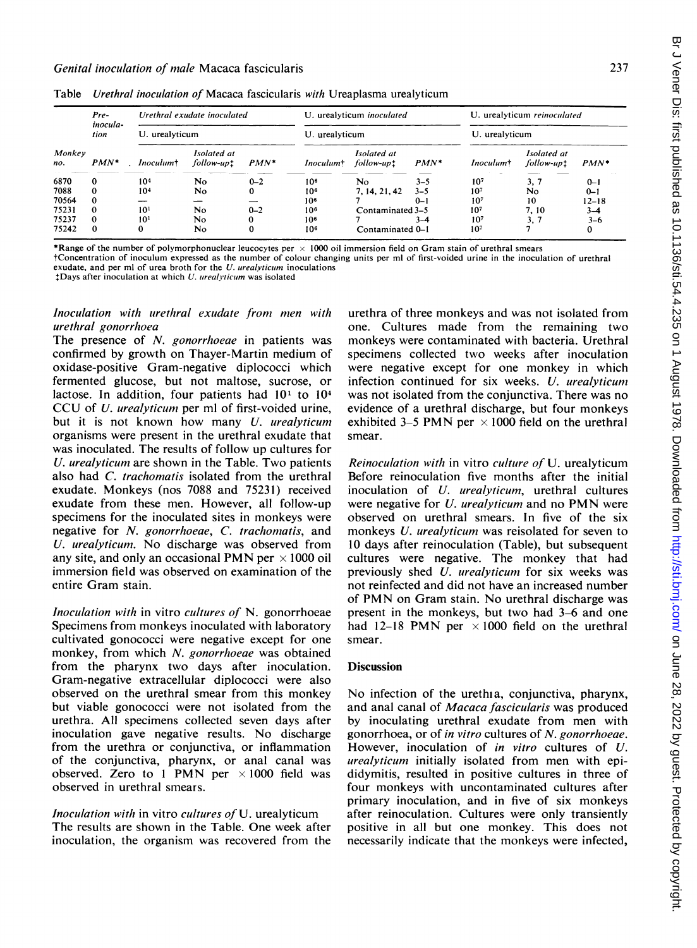| ×<br>.,<br>۰. | ٦ |
|---------------|---|
|               |   |

| Monkey<br>no. | Pre-<br>inocula-<br>tion<br>$PMN*$ | Urethral exudate inoculated<br>U. urealyticum |     |         | U. urealyticum inoculated<br>U. urealyticum |                  |                 | U. urealyticum reinoculated<br>U. urealyticum |         |                 |
|---------------|------------------------------------|-----------------------------------------------|-----|---------|---------------------------------------------|------------------|-----------------|-----------------------------------------------|---------|-----------------|
|               |                                    |                                               |     |         |                                             |                  |                 |                                               |         |                 |
|               |                                    | 6870                                          | 0   | 104     | No.                                         | $0 - 2$          | 10 <sup>6</sup> | No                                            | $3 - 5$ | 10 <sup>7</sup> |
| 7088          |                                    | 104                                           | N٥  | 0       | 10 <sup>6</sup>                             | 7, 14, 21, 42    | $3 - 5$         | 10 <sup>7</sup>                               | No      | $0 - 1$         |
| 70564         |                                    |                                               |     |         | 10 <sup>6</sup>                             |                  | $0 - 1$         | 10 <sup>7</sup>                               | 10      | $12 - 18$       |
| 75231         | $\Omega$                           | 10 <sup>1</sup>                               | No  | $0 - 2$ | 10 <sup>6</sup>                             | Contaminated 3-5 |                 | 10 <sup>7</sup>                               | 7, 10   | $3 - 4$         |
| 75237         | $\Omega$                           | 10 <sup>1</sup>                               | No. | 0       | 10 <sup>6</sup>                             |                  | $3-4$           | 10 <sup>7</sup>                               | 3, 7    | $3 - 6$         |
| 75242         | $\bf{0}$                           |                                               | No  | 0       | 10 <sup>6</sup>                             | Contaminated 0-1 |                 | 10 <sup>7</sup>                               |         | 0               |

Table Urethral inoculation of Macaca fascicularis with Ureaplasma urealyticum

\*Range of the number of polymorphonuclear leucocytes per  $\times$  1000 oil immersion field on Gram stain of urethral smears

tConcentration of inoculum expressed as the number of colour changing units per ml of first-voided urine in the inoculation of urethral exudate, and per ml of urea broth for the  $U$ , *urealvticum* inoculations

 $\pm$ Days after inoculation at which U. urealyticum was isolated

Inoculation with urethral exudate from men with urethral gonorrhoea

The presence of N. gonorrhoeae in patients was confirmed by growth on Thayer-Martin medium of oxidase-positive Gram-negative diplococci which fermented glucose, but not maltose, sucrose, or lactose. In addition, four patients had  $10<sup>1</sup>$  to  $10<sup>4</sup>$ CCU of *U. urealyticum* per ml of first-voided urine, but it is not known how many U. urealyticum organisms were present in the urethral exudate that was inoculated. The results of follow up cultures for U. urealyticum are shown in the Table. Two patients also had C. trachomatis isolated from the urethral exudate. Monkeys (nos 7088 and 75231) received exudate from these men. However, all follow-up specimens for the inoculated sites in monkeys were negative for N. gonorrhoeae, C. trachomatis, and U. urealyticum. No discharge was observed from any site, and only an occasional PMN per  $\times$  1000 oil immersion field was observed on examination of the entire Gram stain.

Inoculation with in vitro cultures of N. gonorrhoeae Specimens from monkeys inoculated with laboratory cultivated gonococci were negative except for one monkey, from which N. gonorrhoeae was obtained from the pharynx two days after inoculation. Gram-negative extracellular diplococci were also observed on the urethral smear from this monkey but viable gonococci were not isolated from the urethra. All specimens collected seven days after inoculation gave negative results. No discharge from the urethra or conjunctiva, or inflammation of the conjunctiva, pharynx, or anal canal was observed. Zero to 1 PMN per  $\times 1000$  field was observed in urethral smears.

Inoculation with in vitro cultures of U. urealyticum The results are shown in the Table. One week after inoculation, the organism was recovered from the urethra of three monkeys and was not isolated from one. Cultures made from the remaining two monkeys were contaminated with bacteria. Urethral specimens collected two weeks after inoculation were negative except for one monkey in which infection continued for six weeks. U. urealyticum was not isolated from the conjunctiva. There was no evidence of a urethral discharge, but four monkeys exhibited 3–5 PMN per  $\times$  1000 field on the urethral smear.

Reinoculation with in vitro culture of U. urealyticum Before reinoculation five months after the initial inoculation of *U. urealyticum*, urethral cultures were negative for U. urealyticum and no PMN were observed on urethral smears. In five of the six monkeys U. urealyticum was reisolated for seven to 10 days after reinoculation (Table), but subsequent cultures were negative. The monkey that had previously shed U. urealyticum for six weeks was not reinfected and did not have an increased number of PMN on Gram stain. No urethral discharge was present in the monkeys, but two had 3-6 and one had 12-18 PMN per  $\times$  1000 field on the urethral smear.

## **Discussion**

No infection of the urethia, conjunctiva, pharynx, and anal canal of Macaca fascicularis was produced by inoculating urethral exudate from men with gonorrhoea, or of in vitro cultures of N. gonorrhoeae. However, inoculation of in vitro cultures of U. urealyticum initially isolated from men with epididymitis, resulted in positive cultures in three of four monkeys with uncontaminated cultures after primary inoculation, and in five of six monkeys after reinoculation. Cultures were only transiently positive in all but one monkey. This does not necessarily indicate that the monkeys were infected,